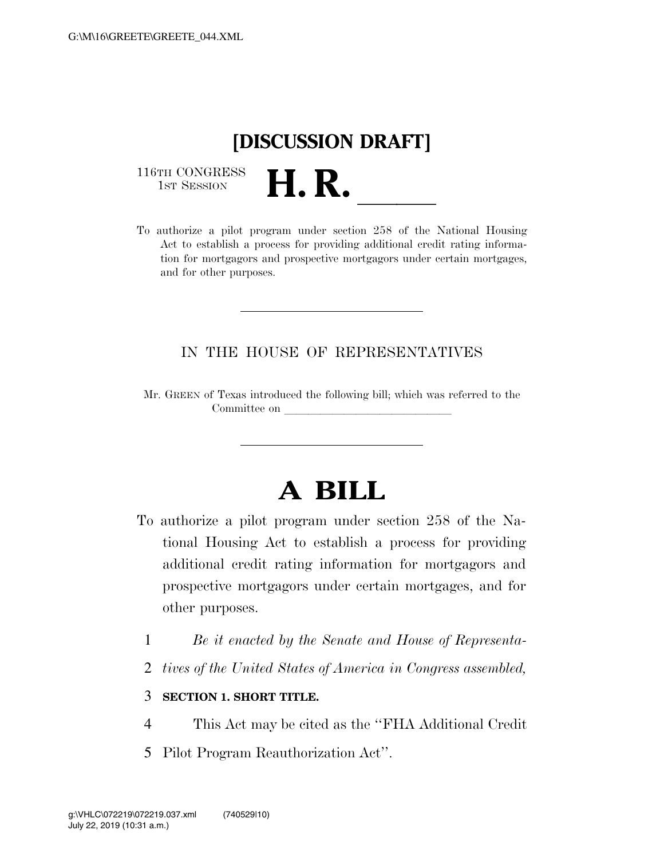## **[DISCUSSION DRAFT]**

116TH CONGRESS<br>1st Session

116TH CONGRESS<br>
1ST SESSION<br>
To authorize a pilot program under section 258 of the National Housing Act to establish a process for providing additional credit rating information for mortgagors and prospective mortgagors under certain mortgages, and for other purposes.

## IN THE HOUSE OF REPRESENTATIVES

Mr. GREEN of Texas introduced the following bill; which was referred to the Committee on

## **A BILL**

- To authorize a pilot program under section 258 of the National Housing Act to establish a process for providing additional credit rating information for mortgagors and prospective mortgagors under certain mortgages, and for other purposes.
	- 1 *Be it enacted by the Senate and House of Representa-*
	- 2 *tives of the United States of America in Congress assembled,*

## 3 **SECTION 1. SHORT TITLE.**

- 4 This Act may be cited as the ''FHA Additional Credit
- 5 Pilot Program Reauthorization Act''.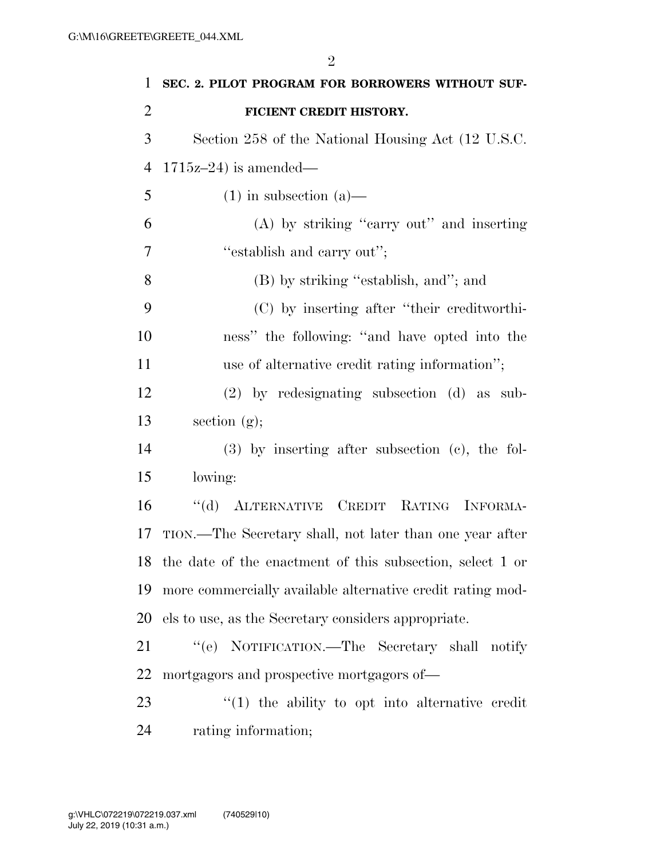| $\mathbf{1}$   | SEC. 2. PILOT PROGRAM FOR BORROWERS WITHOUT SUF-             |
|----------------|--------------------------------------------------------------|
| $\overline{2}$ | FICIENT CREDIT HISTORY.                                      |
| 3              | Section 258 of the National Housing Act (12 U.S.C.           |
| $\overline{4}$ | $1715z-24$ ) is amended—                                     |
| 5              | $(1)$ in subsection $(a)$ —                                  |
| 6              | (A) by striking "carry out" and inserting                    |
| 7              | "establish and carry out";                                   |
| 8              | (B) by striking "establish, and"; and                        |
| 9              | (C) by inserting after "their creditworthi-                  |
| 10             | ness" the following: "and have opted into the                |
| 11             | use of alternative credit rating information";               |
| 12             | $(2)$ by redesignating subsection $(d)$ as sub-              |
| 13             | section $(g);$                                               |
| 14             | $(3)$ by inserting after subsection $(e)$ , the fol-         |
| 15             | lowing:                                                      |
| 16             | "(d) ALTERNATIVE CREDIT RATING INFORMA-                      |
| 17             | TION.—The Secretary shall, not later than one year after     |
|                | 18 the date of the enactment of this subsection, select 1 or |
| 19             | more commercially available alternative credit rating mod-   |
| 20             | els to use, as the Secretary considers appropriate.          |
| 21             | "(e) NOTIFICATION.—The Secretary shall notify                |
| 22             | mortgagors and prospective mortgagors of—                    |
| 23             | $\lq(1)$ the ability to opt into alternative credit          |
| 24             | rating information;                                          |

July 22, 2019 (10:31 a.m.) g:\VHLC\072219\072219.037.xml (740529|10)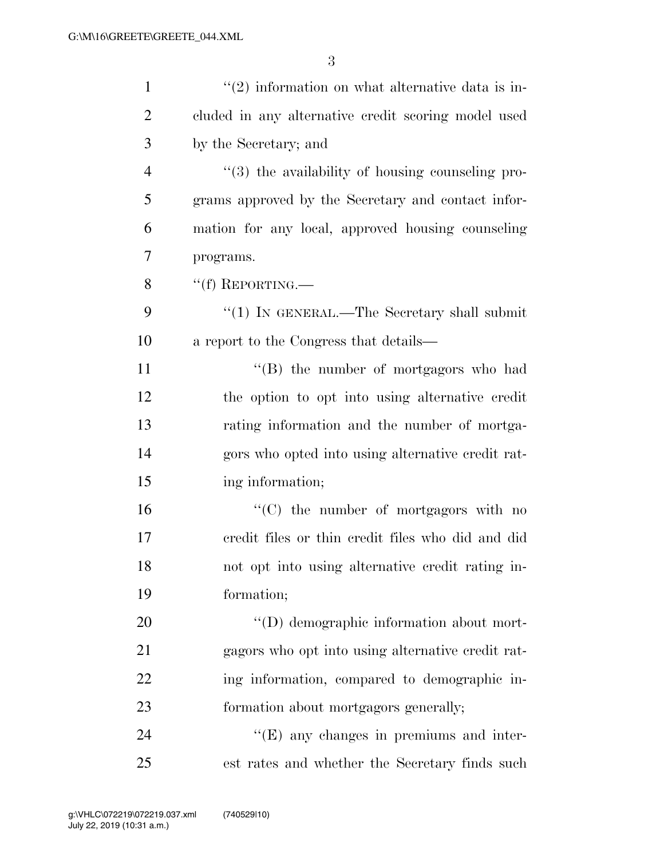| $\mathbf{1}$   | $\lq(2)$ information on what alternative data is in- |
|----------------|------------------------------------------------------|
| $\overline{2}$ | cluded in any alternative credit scoring model used  |
| 3              | by the Secretary; and                                |
| $\overline{4}$ | $\lq(3)$ the availability of housing counseling pro- |
| 5              | grams approved by the Secretary and contact infor-   |
| 6              | mation for any local, approved housing counseling    |
| 7              | programs.                                            |
| 8              | $``(f)$ REPORTING.—                                  |
| 9              | "(1) IN GENERAL.—The Secretary shall submit          |
| 10             | a report to the Congress that details—               |
| 11             | "(B) the number of mortgagors who had                |
| 12             | the option to opt into using alternative credit      |
| 13             | rating information and the number of mortga-         |
| 14             | gors who opted into using alternative credit rat-    |
| 15             | ing information;                                     |
| 16             | $\lq\lq$ (C) the number of mortgagors with no        |
| 17             | credit files or thin credit files who did and did    |
| 18             | not opt into using alternative credit rating in-     |
| 19             | formation;                                           |
| 20             | "(D) demographic information about mort-             |
| 21             | gagors who opt into using alternative credit rat-    |
| 22             | ing information, compared to demographic in-         |
| 23             | formation about mortgagors generally;                |
| 24             | $\lq\lq(E)$ any changes in premiums and inter-       |
| 25             | est rates and whether the Secretary finds such       |